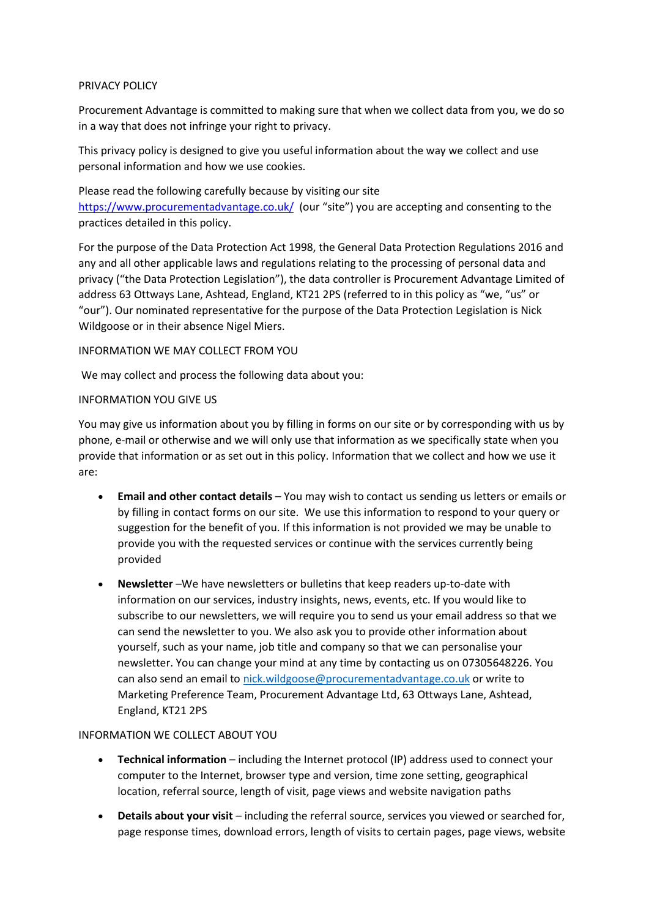### PRIVACY POLICY

Procurement Advantage is committed to making sure that when we collect data from you, we do so in a way that does not infringe your right to privacy.

This privacy policy is designed to give you useful information about the way we collect and use personal information and how we use cookies.

Please read the following carefully because by visiting our site <https://www.procurementadvantage.co.uk/> (our "site") you are accepting and consenting to the practices detailed in this policy.

For the purpose of the Data Protection Act 1998, the General Data Protection Regulations 2016 and any and all other applicable laws and regulations relating to the processing of personal data and privacy ("the Data Protection Legislation"), the data controller is Procurement Advantage Limited of address 63 Ottways Lane, Ashtead, England, KT21 2PS (referred to in this policy as "we, "us" or "our"). Our nominated representative for the purpose of the Data Protection Legislation is Nick Wildgoose or in their absence Nigel Miers.

## INFORMATION WE MAY COLLECT FROM YOU

We may collect and process the following data about you:

## INFORMATION YOU GIVE US

You may give us information about you by filling in forms on our site or by corresponding with us by phone, e-mail or otherwise and we will only use that information as we specifically state when you provide that information or as set out in this policy. Information that we collect and how we use it are:

- **Email and other contact details** You may wish to contact us sending us letters or emails or by filling in contact forms on our site. We use this information to respond to your query or suggestion for the benefit of you. If this information is not provided we may be unable to provide you with the requested services or continue with the services currently being provided
- **Newsletter** –We have newsletters or bulletins that keep readers up-to-date with information on our services, industry insights, news, events, etc. If you would like to subscribe to our newsletters, we will require you to send us your email address so that we can send the newsletter to you. We also ask you to provide other information about yourself, such as your name, job title and company so that we can personalise your newsletter. You can change your mind at any time by contacting us on 07305648226. You can also send an email to [nick.wildgoose@procurementadvantage.co.uk](mailto:nick.wildgoose@procurementadvantage.co.uk) or write to Marketing Preference Team, Procurement Advantage Ltd, 63 Ottways Lane, Ashtead, England, KT21 2PS

### INFORMATION WE COLLECT ABOUT YOU

- **Technical information** including the Internet protocol (IP) address used to connect your computer to the Internet, browser type and version, time zone setting, geographical location, referral source, length of visit, page views and website navigation paths
- **Details about your visit** including the referral source, services you viewed or searched for, page response times, download errors, length of visits to certain pages, page views, website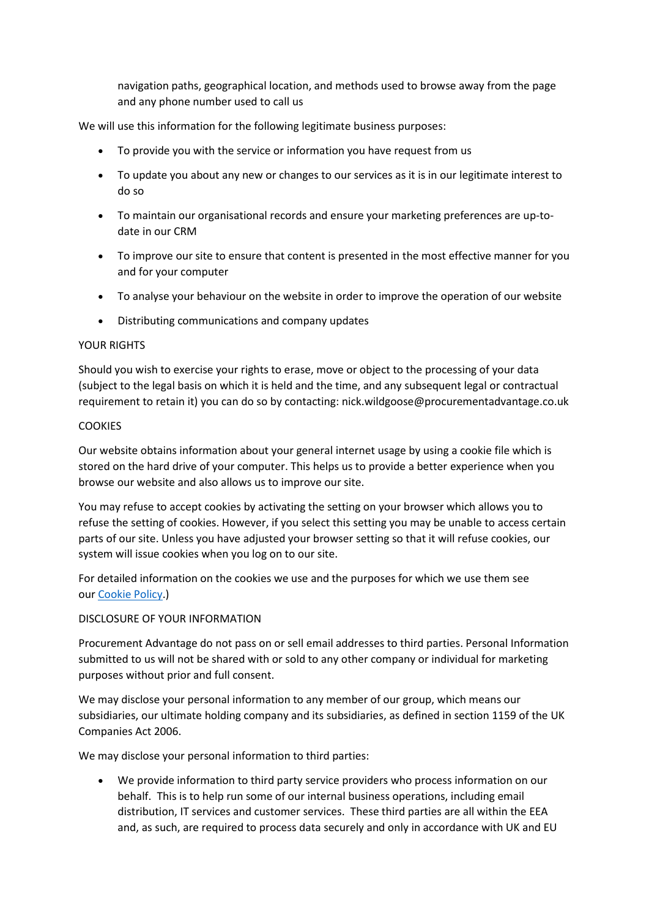navigation paths, geographical location, and methods used to browse away from the page and any phone number used to call us

We will use this information for the following legitimate business purposes:

- To provide you with the service or information you have request from us
- To update you about any new or changes to our services as it is in our legitimate interest to do so
- To maintain our organisational records and ensure your marketing preferences are up-todate in our CRM
- To improve our site to ensure that content is presented in the most effective manner for you and for your computer
- To analyse your behaviour on the website in order to improve the operation of our website
- Distributing communications and company updates

#### YOUR RIGHTS

Should you wish to exercise your rights to erase, move or object to the processing of your data (subject to the legal basis on which it is held and the time, and any subsequent legal or contractual requirement to retain it) you can do so by contacting: nick.wildgoose@procurementadvantage.co.uk

#### **COOKIES**

Our website obtains information about your general internet usage by using a cookie file which is stored on the hard drive of your computer. This helps us to provide a better experience when you browse our website and also allows us to improve our site.

You may refuse to accept cookies by activating the setting on your browser which allows you to refuse the setting of cookies. However, if you select this setting you may be unable to access certain parts of our site. Unless you have adjusted your browser setting so that it will refuse cookies, our system will issue cookies when you log on to our site.

For detailed information on the cookies we use and the purposes for which we use them see our [Cookie Policy.](https://www.daviesrobson.co.uk/cookie-policy/))

### DISCLOSURE OF YOUR INFORMATION

Procurement Advantage do not pass on or sell email addresses to third parties. Personal Information submitted to us will not be shared with or sold to any other company or individual for marketing purposes without prior and full consent.

We may disclose your personal information to any member of our group, which means our subsidiaries, our ultimate holding company and its subsidiaries, as defined in section 1159 of the UK Companies Act 2006.

We may disclose your personal information to third parties:

• We provide information to third party service providers who process information on our behalf. This is to help run some of our internal business operations, including email distribution, IT services and customer services. These third parties are all within the EEA and, as such, are required to process data securely and only in accordance with UK and EU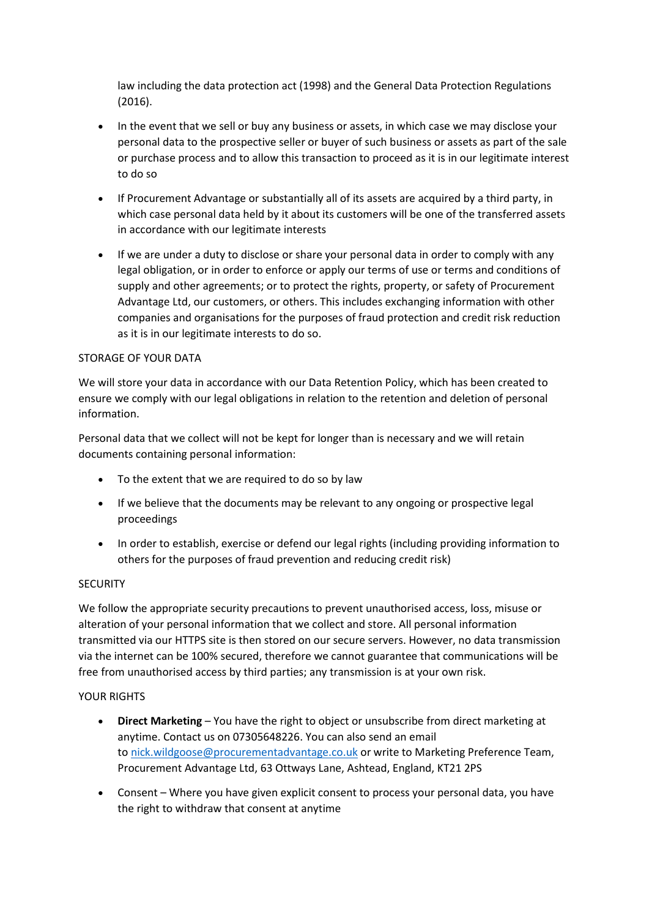law including the data protection act (1998) and the General Data Protection Regulations (2016).

- In the event that we sell or buy any business or assets, in which case we may disclose your personal data to the prospective seller or buyer of such business or assets as part of the sale or purchase process and to allow this transaction to proceed as it is in our legitimate interest to do so
- If Procurement Advantage or substantially all of its assets are acquired by a third party, in which case personal data held by it about its customers will be one of the transferred assets in accordance with our legitimate interests
- If we are under a duty to disclose or share your personal data in order to comply with any legal obligation, or in order to enforce or apply our terms of use or terms and conditions of supply and other agreements; or to protect the rights, property, or safety of Procurement Advantage Ltd, our customers, or others. This includes exchanging information with other companies and organisations for the purposes of fraud protection and credit risk reduction as it is in our legitimate interests to do so.

## STORAGE OF YOUR DATA

We will store your data in accordance with our Data Retention Policy, which has been created to ensure we comply with our legal obligations in relation to the retention and deletion of personal information.

Personal data that we collect will not be kept for longer than is necessary and we will retain documents containing personal information:

- To the extent that we are required to do so by law
- If we believe that the documents may be relevant to any ongoing or prospective legal proceedings
- In order to establish, exercise or defend our legal rights (including providing information to others for the purposes of fraud prevention and reducing credit risk)

### **SECURITY**

We follow the appropriate security precautions to prevent unauthorised access, loss, misuse or alteration of your personal information that we collect and store. All personal information transmitted via our HTTPS site is then stored on our secure servers. However, no data transmission via the internet can be 100% secured, therefore we cannot guarantee that communications will be free from unauthorised access by third parties; any transmission is at your own risk.

### YOUR RIGHTS

- **Direct Marketing** You have the right to object or unsubscribe from direct marketing at anytime. Contact us on 07305648226. You can also send an email to [nick.wildgoose@procurementadvantage.co.uk](mailto:nick.wildgoose@procurementadvantage.co.uk) or write to Marketing Preference Team, Procurement Advantage Ltd, 63 Ottways Lane, Ashtead, England, KT21 2PS
- Consent Where you have given explicit consent to process your personal data, you have the right to withdraw that consent at anytime